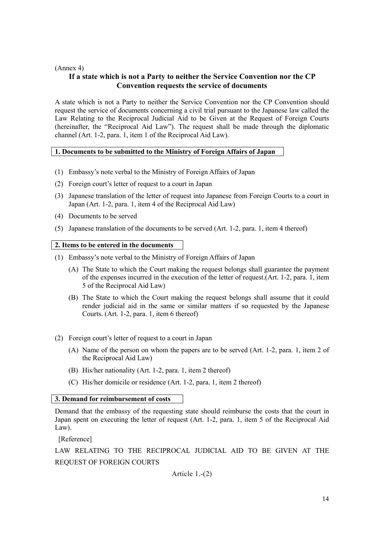## (Annex 4)

# **If a state which is not a Party to neither the Service Convention nor the CP Convention requests the service of documents**

A state which is not a Party to neither the Service Convention nor the CP Convention should request the service of documents concerning a civil trial pursuant to the Japanese law called the Law Relating to the Reciprocal Judicial Aid to be Given at the Request of Foreign Courts (hereinafter, the "Reciprocal Aid Law"). The request shall be made through the diplomatic channel (Art. 1-2, para. 1, item 1 of the Reciprocal Aid Law).

## **1. Documents to be submitted to the Ministry of Foreign Affairs of Japan**

- (1) Embassy's note verbal to the Ministry of Foreign Affairs of Japan
- (2) Foreign court's letter of request to a court in Japan
- (3) Japanese translation of the letter of request into Japanese from Foreign Courts to a court in Japan (Art. 1-2, para. 1, item 4 of the Reciprocal Aid Law)
- (4) Documents to be served
- (5) Japanese translation of the documents to be served (Art. 1-2, para. 1, item 4 thereof)

### **2. Items to be entered in the documents**

- (1) Embassy's note verbal to the Ministry of Foreign Affairs of Japan
	- (A) The State to which the Court making the request belongs shall guarantee the payment of the expenses incurred in the execution of the letter of request.(Art. 1-2, para. 1, item 5 of the Reciprocal Aid Law)
	- (B) The State to which the Court making the request belongs shall assume that it could render judicial aid in the same or similar matters if so requested by the Japanese Courts. (Art. 1-2, para. 1, item 6 thereof)
- (2) Foreign court's letter of request to a court in Japan
	- (A) Name of the person on whom the papers are to be served (Art. 1-2, para. 1, item 2 of the Reciprocal Aid Law)
	- (B) His/her nationality (Art. 1-2, para. 1, item 2 thereof)
	- (C) His/her domicile or residence (Art. 1-2, para. 1, item 2 thereof)

### **3. Demand for reimbursement of costs**

Demand that the embassy of the requesting state should reimburse the costs that the court in Japan spent on executing the letter of request (Art. 1-2, para. 1, item 5 of the Reciprocal Aid Law).

[Reference]

LAW RELATING TO THE RECIPROCAL JUDICIAL AID TO BE GIVEN AT THE REQUEST OF FOREIGN COURTS

Article 1.-(2)